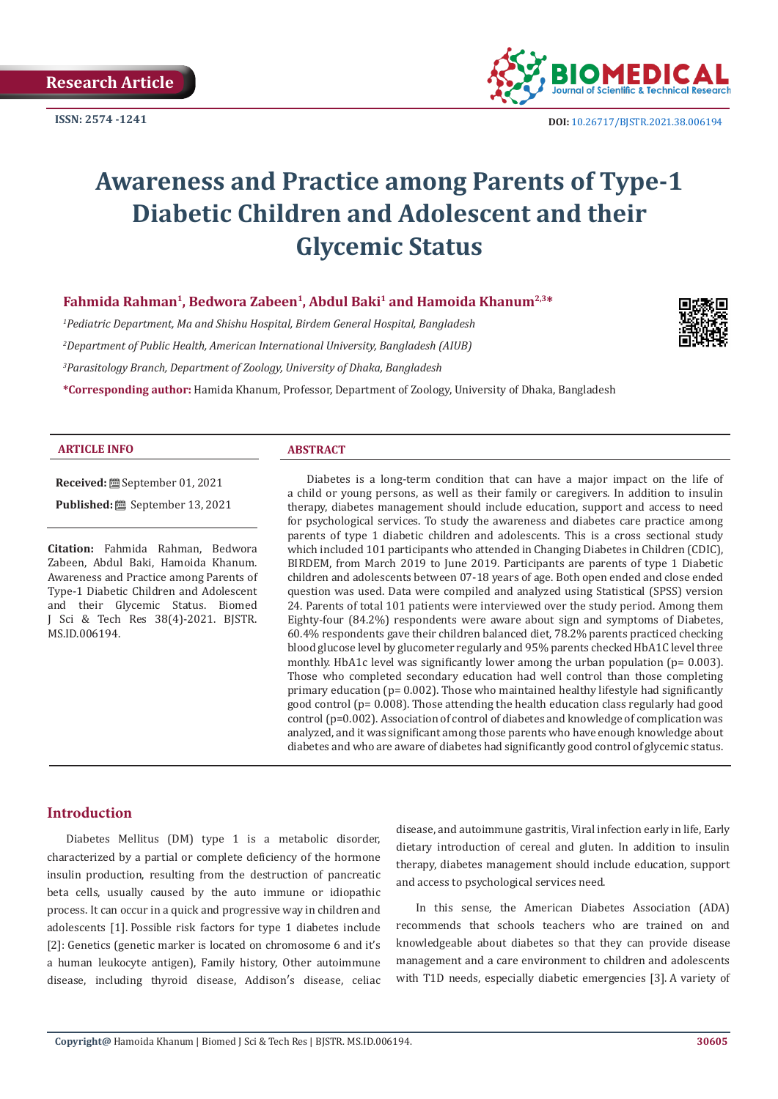

# **Awareness and Practice among Parents of Type-1 Diabetic Children and Adolescent and their Glycemic Status**

## Fahmida Rahman<sup>1</sup>, Bedwora Zabeen<sup>1</sup>, Abdul Baki<sup>1</sup> and Hamoida Khanum<sup>2,3\*</sup>

*1 Pediatric Department, Ma and Shishu Hospital, Birdem General Hospital, Bangladesh 2 Department of Public Health, American International University, Bangladesh (AIUB) 3 Parasitology Branch, Department of Zoology, University of Dhaka, Bangladesh*

**\*Corresponding author:** Hamida Khanum, Professor, Department of Zoology, University of Dhaka, Bangladesh

#### **ARTICLE INFO ABSTRACT**

**Received:** September 01, 2021 **Published:** September 13, 2021

**Citation:** Fahmida Rahman, Bedwora Zabeen, Abdul Baki, Hamoida Khanum. Awareness and Practice among Parents of Type-1 Diabetic Children and Adolescent and their Glycemic Status. Biomed J Sci & Tech Res 38(4)-2021. BJSTR. MS.ID.006194.

Diabetes is a long-term condition that can have a major impact on the life of a child or young persons, as well as their family or caregivers. In addition to insulin therapy, diabetes management should include education, support and access to need for psychological services. To study the awareness and diabetes care practice among parents of type 1 diabetic children and adolescents. This is a cross sectional study which included 101 participants who attended in Changing Diabetes in Children (CDIC), BIRDEM, from March 2019 to June 2019. Participants are parents of type 1 Diabetic children and adolescents between 07-18 years of age. Both open ended and close ended question was used. Data were compiled and analyzed using Statistical (SPSS) version 24. Parents of total 101 patients were interviewed over the study period. Among them Eighty-four (84.2%) respondents were aware about sign and symptoms of Diabetes, 60.4% respondents gave their children balanced diet, 78.2% parents practiced checking blood glucose level by glucometer regularly and 95% parents checked HbA1C level three monthly. HbA1c level was significantly lower among the urban population (p= 0.003). Those who completed secondary education had well control than those completing primary education (p= 0.002). Those who maintained healthy lifestyle had significantly good control (p= 0.008). Those attending the health education class regularly had good control (p=0.002). Association of control of diabetes and knowledge of complication was analyzed, and it was significant among those parents who have enough knowledge about diabetes and who are aware of diabetes had significantly good control of glycemic status.

#### **Introduction**

Diabetes Mellitus (DM) type 1 is a metabolic disorder, characterized by a partial or complete deficiency of the hormone insulin production, resulting from the destruction of pancreatic beta cells, usually caused by the auto immune or idiopathic process. It can occur in a quick and progressive way in children and adolescents [1]. Possible risk factors for type 1 diabetes include [2]: Genetics (genetic marker is located on chromosome 6 and it's a human leukocyte antigen), Family history, Other autoimmune disease, including thyroid disease, Addison′s disease, celiac

disease, and autoimmune gastritis, Viral infection early in life, Early dietary introduction of cereal and gluten. In addition to insulin therapy, diabetes management should include education, support and access to psychological services need.

In this sense, the American Diabetes Association (ADA) recommends that schools teachers who are trained on and knowledgeable about diabetes so that they can provide disease management and a care environment to children and adolescents with T1D needs, especially diabetic emergencies [3]. A variety of

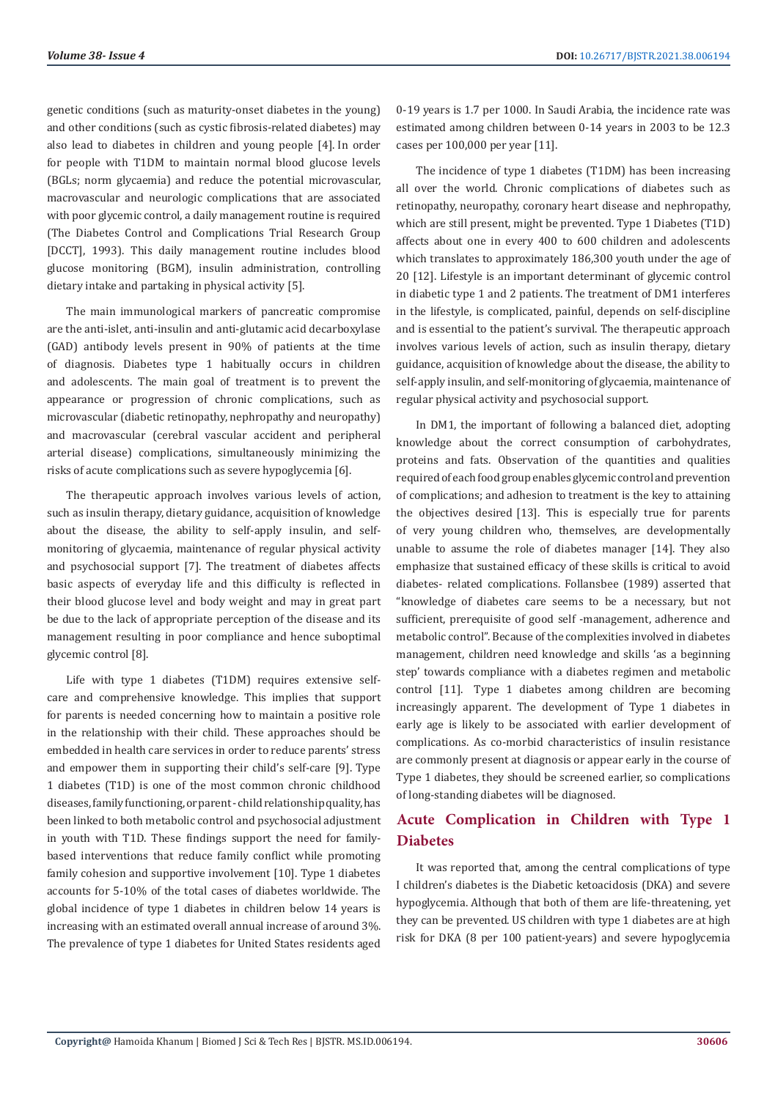genetic conditions (such as maturity-onset diabetes in the young) and other conditions (such as cystic fibrosis-related diabetes) may also lead to diabetes in children and young people [4]. In order for people with T1DM to maintain normal blood glucose levels (BGLs; norm glycaemia) and reduce the potential microvascular, macrovascular and neurologic complications that are associated with poor glycemic control, a daily management routine is required (The Diabetes Control and Complications Trial Research Group [DCCT], 1993). This daily management routine includes blood glucose monitoring (BGM), insulin administration, controlling dietary intake and partaking in physical activity [5].

The main immunological markers of pancreatic compromise are the anti-islet, anti-insulin and anti-glutamic acid decarboxylase (GAD) antibody levels present in 90% of patients at the time of diagnosis. Diabetes type 1 habitually occurs in children and adolescents. The main goal of treatment is to prevent the appearance or progression of chronic complications, such as microvascular (diabetic retinopathy, nephropathy and neuropathy) and macrovascular (cerebral vascular accident and peripheral arterial disease) complications, simultaneously minimizing the risks of acute complications such as severe hypoglycemia [6].

The therapeutic approach involves various levels of action, such as insulin therapy, dietary guidance, acquisition of knowledge about the disease, the ability to self-apply insulin, and selfmonitoring of glycaemia, maintenance of regular physical activity and psychosocial support [7]. The treatment of diabetes affects basic aspects of everyday life and this difficulty is reflected in their blood glucose level and body weight and may in great part be due to the lack of appropriate perception of the disease and its management resulting in poor compliance and hence suboptimal glycemic control [8].

Life with type 1 diabetes (T1DM) requires extensive selfcare and comprehensive knowledge. This implies that support for parents is needed concerning how to maintain a positive role in the relationship with their child. These approaches should be embedded in health care services in order to reduce parents' stress and empower them in supporting their child's self-care [9]. Type 1 diabetes (T1D) is one of the most common chronic childhood diseases, family functioning, or parent - child relationship quality, has been linked to both metabolic control and psychosocial adjustment in youth with T1D. These findings support the need for familybased interventions that reduce family conflict while promoting family cohesion and supportive involvement [10]. Type 1 diabetes accounts for 5-10% of the total cases of diabetes worldwide. The global incidence of type 1 diabetes in children below 14 years is increasing with an estimated overall annual increase of around 3%. The prevalence of type 1 diabetes for United States residents aged

0-19 years is 1.7 per 1000. In Saudi Arabia, the incidence rate was estimated among children between 0-14 years in 2003 to be 12.3 cases per 100,000 per year [11].

The incidence of type 1 diabetes (T1DM) has been increasing all over the world. Chronic complications of diabetes such as retinopathy, neuropathy, coronary heart disease and nephropathy, which are still present, might be prevented. Type 1 Diabetes (T1D) affects about one in every 400 to 600 children and adolescents which translates to approximately 186,300 youth under the age of 20 [12]. Lifestyle is an important determinant of glycemic control in diabetic type 1 and 2 patients. The treatment of DM1 interferes in the lifestyle, is complicated, painful, depends on self-discipline and is essential to the patient's survival. The therapeutic approach involves various levels of action, such as insulin therapy, dietary guidance, acquisition of knowledge about the disease, the ability to self-apply insulin, and self-monitoring of glycaemia, maintenance of regular physical activity and psychosocial support.

In DM1, the important of following a balanced diet, adopting knowledge about the correct consumption of carbohydrates, proteins and fats. Observation of the quantities and qualities required of each food group enables glycemic control and prevention of complications; and adhesion to treatment is the key to attaining the objectives desired [13]. This is especially true for parents of very young children who, themselves, are developmentally unable to assume the role of diabetes manager [14]. They also emphasize that sustained efficacy of these skills is critical to avoid diabetes- related complications. Follansbee (1989) asserted that "knowledge of diabetes care seems to be a necessary, but not sufficient, prerequisite of good self -management, adherence and metabolic control". Because of the complexities involved in diabetes management, children need knowledge and skills 'as a beginning step' towards compliance with a diabetes regimen and metabolic control [11]. Type 1 diabetes among children are becoming increasingly apparent. The development of Type 1 diabetes in early age is likely to be associated with earlier development of complications. As co-morbid characteristics of insulin resistance are commonly present at diagnosis or appear early in the course of Type 1 diabetes, they should be screened earlier, so complications of long-standing diabetes will be diagnosed.

# **Acute Complication in Children with Type 1 Diabetes**

It was reported that, among the central complications of type I children's diabetes is the Diabetic ketoacidosis (DKA) and severe hypoglycemia. Although that both of them are life-threatening, yet they can be prevented. US children with type 1 diabetes are at high risk for DKA (8 per 100 patient-years) and severe hypoglycemia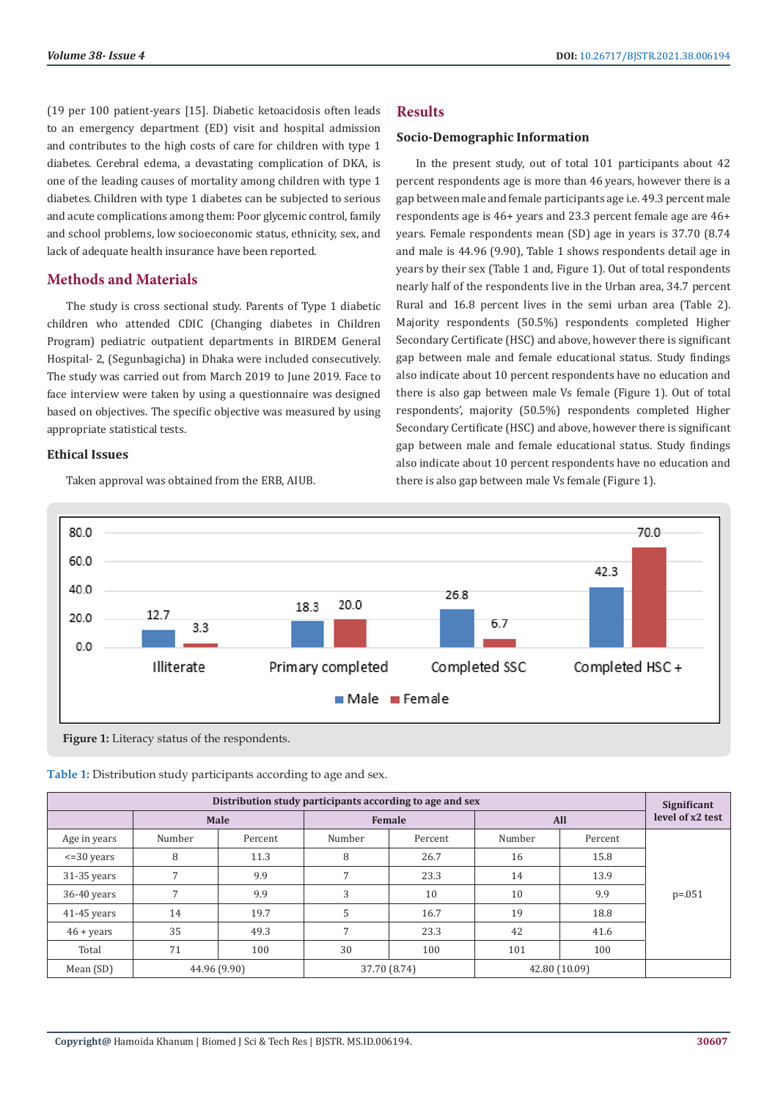(19 per 100 patient-years [15]. Diabetic ketoacidosis often leads to an emergency department (ED) visit and hospital admission and contributes to the high costs of care for children with type 1 diabetes. Cerebral edema, a devastating complication of DKA, is one of the leading causes of mortality among children with type 1 diabetes. Children with type 1 diabetes can be subjected to serious and acute complications among them: Poor glycemic control, family and school problems, low socioeconomic status, ethnicity, sex, and lack of adequate health insurance have been reported.

## **Methods and Materials**

The study is cross sectional study. Parents of Type 1 diabetic children who attended CDIC (Changing diabetes in Children Program) pediatric outpatient departments in BIRDEM General Hospital- 2, (Segunbagicha) in Dhaka were included consecutively. The study was carried out from March 2019 to June 2019. Face to face interview were taken by using a questionnaire was designed based on objectives. The specific objective was measured by using appropriate statistical tests.

#### **Ethical Issues**

Taken approval was obtained from the ERB, AIUB.

#### **Results**

#### **Socio-Demographic Information**

In the present study, out of total 101 participants about 42 percent respondents age is more than 46 years, however there is a gap between male and female participants age i.e. 49.3 percent male respondents age is 46+ years and 23.3 percent female age are 46+ years. Female respondents mean (SD) age in years is 37.70 (8.74 and male is 44.96 (9.90), Table 1 shows respondents detail age in years by their sex (Table 1 and, Figure 1). Out of total respondents nearly half of the respondents live in the Urban area, 34.7 percent Rural and 16.8 percent lives in the semi urban area (Table 2). Majority respondents (50.5%) respondents completed Higher Secondary Certificate (HSC) and above, however there is significant gap between male and female educational status. Study findings also indicate about 10 percent respondents have no education and there is also gap between male Vs female (Figure 1). Out of total respondents', majority (50.5%) respondents completed Higher Secondary Certificate (HSC) and above, however there is significant gap between male and female educational status. Study findings also indicate about 10 percent respondents have no education and there is also gap between male Vs female (Figure 1).



**Figure 1:** Literacy status of the respondents.

| Table 1: Distribution study participants according to age and sex. |  |  |  |
|--------------------------------------------------------------------|--|--|--|
|--------------------------------------------------------------------|--|--|--|

| Distribution study participants according to age and sex |        |              |        |               |        |                  |             |  |  |
|----------------------------------------------------------|--------|--------------|--------|---------------|--------|------------------|-------------|--|--|
|                                                          |        | Male         |        | All<br>Female |        | level of x2 test |             |  |  |
| Age in years                                             | Number | Percent      | Number | Percent       | Number | Percent          |             |  |  |
| $\epsilon = 30$ years                                    | 8      | 11.3         | 8      | 26.7          | 16     | 15.8             |             |  |  |
| $31-35$ years                                            |        | 9.9          | 7      | 23.3          | 14     | 13.9             |             |  |  |
| $36-40$ years                                            |        | 9.9          | 3      | 10            | 10     | 9.9              | $p = 0.051$ |  |  |
| $41-45$ years                                            | 14     | 19.7         | 5      | 16.7          | 19     | 18.8             |             |  |  |
| $46 + \text{years}$                                      | 35     | 49.3         | 7      | 23.3          | 42     | 41.6             |             |  |  |
| Total                                                    | 71     | 100          | 30     | 100           | 101    | 100              |             |  |  |
| Mean (SD)                                                |        | 44.96 (9.90) |        | 37.70 (8.74)  |        | 42.80 (10.09)    |             |  |  |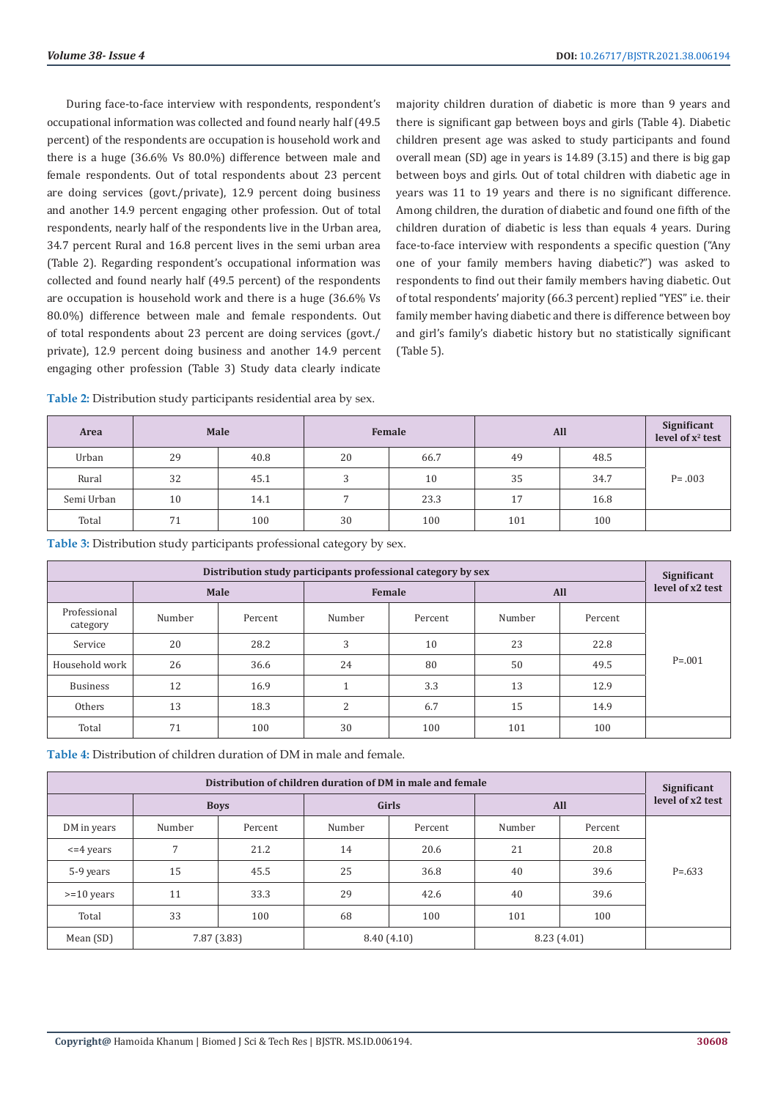During face-to-face interview with respondents, respondent's occupational information was collected and found nearly half (49.5 percent) of the respondents are occupation is household work and there is a huge (36.6% Vs 80.0%) difference between male and female respondents. Out of total respondents about 23 percent are doing services (govt./private), 12.9 percent doing business and another 14.9 percent engaging other profession. Out of total respondents, nearly half of the respondents live in the Urban area, 34.7 percent Rural and 16.8 percent lives in the semi urban area (Table 2). Regarding respondent's occupational information was collected and found nearly half (49.5 percent) of the respondents are occupation is household work and there is a huge (36.6% Vs 80.0%) difference between male and female respondents. Out of total respondents about 23 percent are doing services (govt./ private), 12.9 percent doing business and another 14.9 percent engaging other profession (Table 3) Study data clearly indicate

majority children duration of diabetic is more than 9 years and there is significant gap between boys and girls (Table 4). Diabetic children present age was asked to study participants and found overall mean (SD) age in years is 14.89 (3.15) and there is big gap between boys and girls. Out of total children with diabetic age in years was 11 to 19 years and there is no significant difference. Among children, the duration of diabetic and found one fifth of the children duration of diabetic is less than equals 4 years. During face-to-face interview with respondents a specific question ("Any one of your family members having diabetic?") was asked to respondents to find out their family members having diabetic. Out of total respondents' majority (66.3 percent) replied "YES" i.e. their family member having diabetic and there is difference between boy and girl's family's diabetic history but no statistically significant (Table 5).

| Area       | Male |      |    | Female |     | All  |            |
|------------|------|------|----|--------|-----|------|------------|
| Urban      | 29   | 40.8 | 20 | 66.7   | 49  | 48.5 |            |
| Rural      | 32   | 45.1 | 3  | 10     | 35  | 34.7 | $P = .003$ |
| Semi Urban | 10   | 14.1 |    | 23.3   | 17  | 16.8 |            |
| Total      | 71   | 100  | 30 | 100    | 101 | 100  |            |

**Table 2:** Distribution study participants residential area by sex.

**Table 3:** Distribution study participants professional category by sex.

| Distribution study participants professional category by sex |        |         |        |         |            |         |                  |  |
|--------------------------------------------------------------|--------|---------|--------|---------|------------|---------|------------------|--|
|                                                              |        | Male    | Female |         | <b>All</b> |         | level of x2 test |  |
| Professional<br>category                                     | Number | Percent | Number | Percent | Number     | Percent |                  |  |
| Service                                                      | 20     | 28.2    | 3      | 10      | 23         | 22.8    |                  |  |
| Household work                                               | 26     | 36.6    | 24     | 80      | 50         | 49.5    | $P = 0.001$      |  |
| <b>Business</b>                                              | 12     | 16.9    |        | 3.3     | 13         | 12.9    |                  |  |
| Others                                                       | 13     | 18.3    | 2      | 6.7     | 15         | 14.9    |                  |  |
| Total                                                        | 71     | 100     | 30     | 100     | 101        | 100     |                  |  |

**Table 4:** Distribution of children duration of DM in male and female.

| Distribution of children duration of DM in male and female |        |             |              |         |            |         |                  |  |
|------------------------------------------------------------|--------|-------------|--------------|---------|------------|---------|------------------|--|
|                                                            |        | <b>Boys</b> | <b>Girls</b> |         | All        |         | level of x2 test |  |
| DM in years                                                | Number | Percent     | Number       | Percent | Number     | Percent |                  |  |
| $\leq$ 4 years                                             | 7      | 21.2        | 14           | 20.6    | 21         | 20.8    |                  |  |
| 5-9 years                                                  | 15     | 45.5        | 25           | 36.8    | 40         | 39.6    | $P = 633$        |  |
| $>= 10$ years                                              | 11     | 33.3        | 29           | 42.6    | 40         | 39.6    |                  |  |
| Total                                                      | 33     | 100         | 68           | 100     | 101        | 100     |                  |  |
| Mean (SD)                                                  |        | 7.87 (3.83) | 8.40(4.10)   |         | 8.23(4.01) |         |                  |  |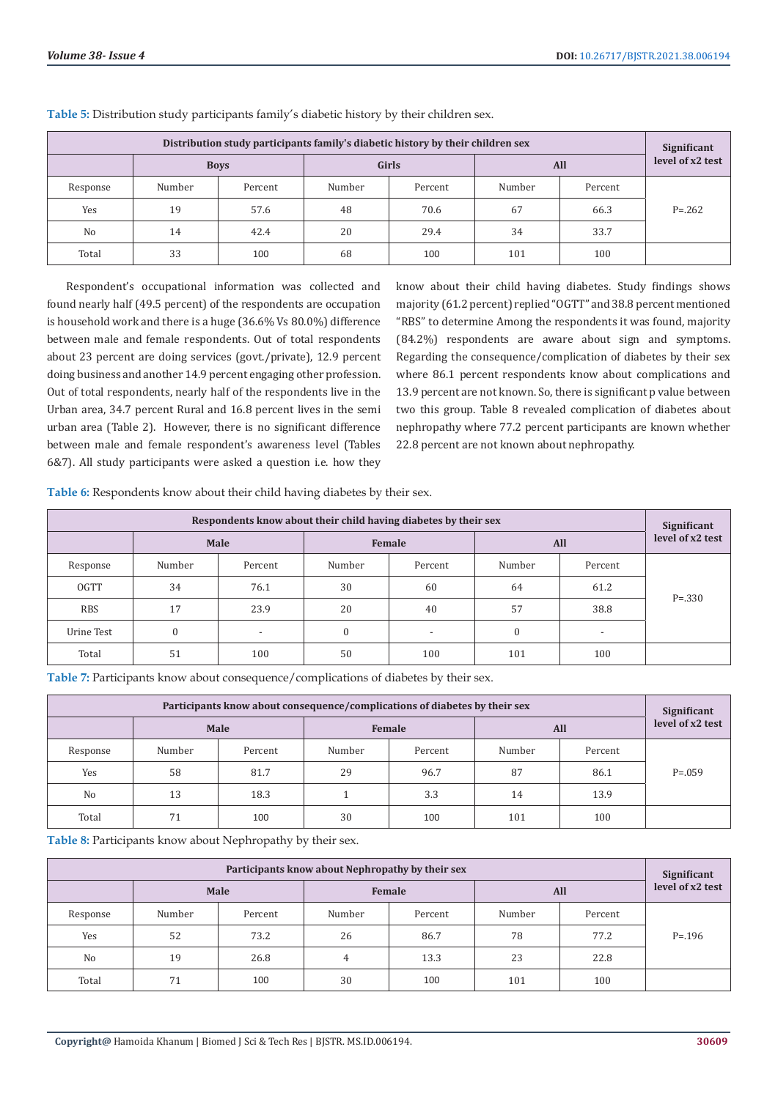| Distribution study participants family's diabetic history by their children sex |        |             |        |         |        |         |                  |  |  |
|---------------------------------------------------------------------------------|--------|-------------|--------|---------|--------|---------|------------------|--|--|
|                                                                                 |        | <b>Boys</b> | Girls  |         | All    |         | level of x2 test |  |  |
| Response                                                                        | Number | Percent     | Number | Percent | Number | Percent |                  |  |  |
| Yes                                                                             | 19     | 57.6        | 48     | 70.6    | 67     | 66.3    | $P = 0.262$      |  |  |
| N <sub>0</sub>                                                                  | 14     | 42.4        | 20     | 29.4    | 34     | 33.7    |                  |  |  |
| Total                                                                           | 33     | 100         | 68     | 100     | 101    | 100     |                  |  |  |

**Table 5:** Distribution study participants family's diabetic history by their children sex.

Respondent's occupational information was collected and found nearly half (49.5 percent) of the respondents are occupation is household work and there is a huge (36.6% Vs 80.0%) difference between male and female respondents. Out of total respondents about 23 percent are doing services (govt./private), 12.9 percent doing business and another 14.9 percent engaging other profession. Out of total respondents, nearly half of the respondents live in the Urban area, 34.7 percent Rural and 16.8 percent lives in the semi urban area (Table 2). However, there is no significant difference between male and female respondent's awareness level (Tables 6&7). All study participants were asked a question i.e. how they

know about their child having diabetes. Study findings shows majority (61.2 percent) replied "OGTT" and 38.8 percent mentioned "RBS" to determine Among the respondents it was found, majority (84.2%) respondents are aware about sign and symptoms. Regarding the consequence/complication of diabetes by their sex where 86.1 percent respondents know about complications and 13.9 percent are not known. So, there is significant p value between two this group. Table 8 revealed complication of diabetes about nephropathy where 77.2 percent participants are known whether 22.8 percent are not known about nephropathy.

**Table 6:** Respondents know about their child having diabetes by their sex.

| Respondents know about their child having diabetes by their sex |          |                          |              |                          |            |                          |                  |  |
|-----------------------------------------------------------------|----------|--------------------------|--------------|--------------------------|------------|--------------------------|------------------|--|
|                                                                 |          | Male                     | Female       |                          | <b>All</b> |                          | level of x2 test |  |
| Response                                                        | Number   | Percent                  | Number       | Percent                  | Number     | Percent                  |                  |  |
| <b>OGTT</b>                                                     | 34       | 76.1                     | 30           | 60                       | 64         | 61.2                     | $P = 330$        |  |
| <b>RBS</b>                                                      | 17       | 23.9                     | 20           | 40                       | 57         | 38.8                     |                  |  |
| Urine Test                                                      | $\Omega$ | $\overline{\phantom{a}}$ | $\mathbf{0}$ | $\overline{\phantom{a}}$ | $\theta$   | $\overline{\phantom{a}}$ |                  |  |
| Total                                                           | 51       | 100                      | 50           | 100                      | 101        | 100                      |                  |  |

**Table 7:** Participants know about consequence/complications of diabetes by their sex.

| Participants know about consequence/complications of diabetes by their sex |        |         |        |         |        |         |                                 |  |
|----------------------------------------------------------------------------|--------|---------|--------|---------|--------|---------|---------------------------------|--|
|                                                                            |        | Male    |        | Female  | All    |         | Significant<br>level of x2 test |  |
| Response                                                                   | Number | Percent | Number | Percent | Number | Percent |                                 |  |
| Yes                                                                        | 58     | 81.7    | 29     | 96.7    | 87     | 86.1    | $P = 0.059$                     |  |
| N <sub>0</sub>                                                             | 13     | 18.3    |        | 3.3     | 14     | 13.9    |                                 |  |
| Total                                                                      | 71     | 100     | 30     | 100     | 101    | 100     |                                 |  |

**Table 8:** Participants know about Nephropathy by their sex.

| Participants know about Nephropathy by their sex |        |         |        |         |        |         |                  |  |
|--------------------------------------------------|--------|---------|--------|---------|--------|---------|------------------|--|
|                                                  |        | Male    |        | Female  | All    |         | level of x2 test |  |
| Response                                         | Number | Percent | Number | Percent | Number | Percent |                  |  |
| Yes                                              | 52     | 73.2    | 26     | 86.7    | 78     | 77.2    | $P = 196$        |  |
| N <sub>0</sub>                                   | 19     | 26.8    | 4      | 13.3    | 23     | 22.8    |                  |  |
| Total                                            | 71     | 100     | 30     | 100     | 101    | 100     |                  |  |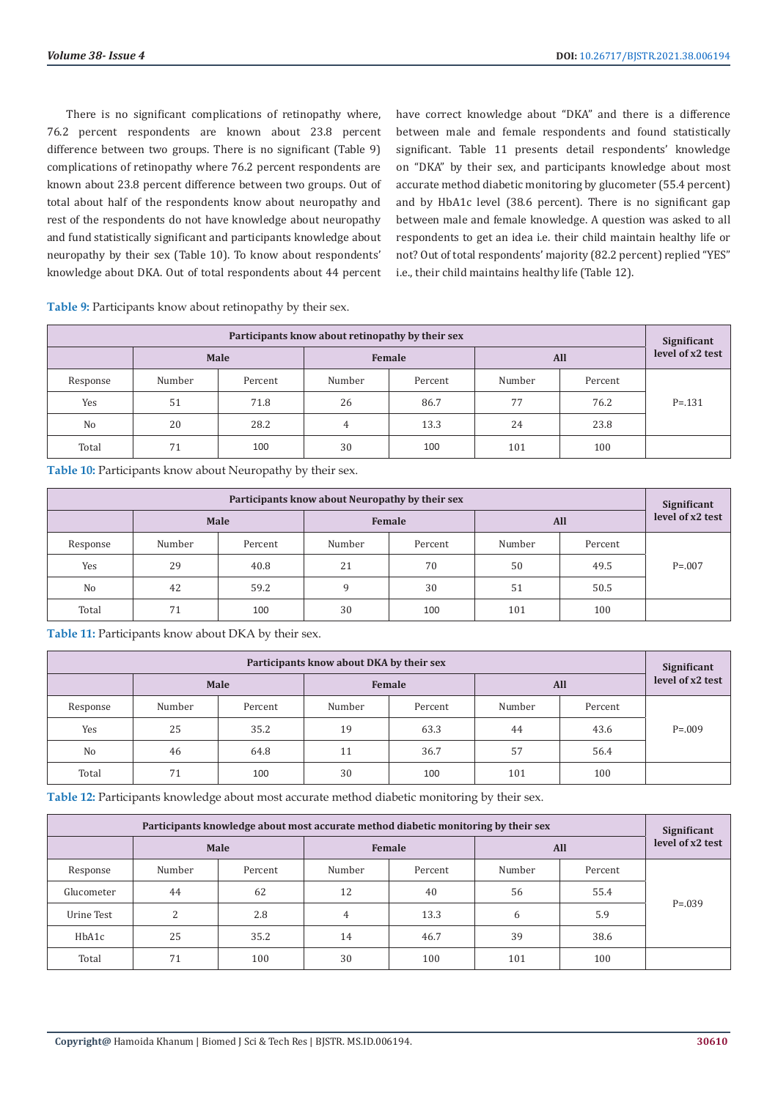There is no significant complications of retinopathy where, 76.2 percent respondents are known about 23.8 percent difference between two groups. There is no significant (Table 9) complications of retinopathy where 76.2 percent respondents are known about 23.8 percent difference between two groups. Out of total about half of the respondents know about neuropathy and rest of the respondents do not have knowledge about neuropathy and fund statistically significant and participants knowledge about neuropathy by their sex (Table 10). To know about respondents' knowledge about DKA. Out of total respondents about 44 percent

have correct knowledge about "DKA" and there is a difference between male and female respondents and found statistically significant. Table 11 presents detail respondents' knowledge on "DKA" by their sex, and participants knowledge about most accurate method diabetic monitoring by glucometer (55.4 percent) and by HbA1c level (38.6 percent). There is no significant gap between male and female knowledge. A question was asked to all respondents to get an idea i.e. their child maintain healthy life or not? Out of total respondents' majority (82.2 percent) replied "YES" i.e., their child maintains healthy life (Table 12).

**Participants know about retinopathy by their sex Significant Significant Significant Significant Significant level of x2 test Female Female All All Example 3 Example 3 All Example 3 Example 4 Example 4 Example 4 Example 4 Example 4 Example 4 Example 4 Example 4 Example 4 Example 4 Example 4** Response | Number | Percent | Number | Percent | Number | Percent Yes  $\begin{array}{|c|c|c|c|c|c|c|c|c|} \hline \end{array}$  51 | 71.8 | 26 | 86.7 | 77 | 76.2 | P=.131 No  $\begin{array}{|c|c|c|c|c|c|c|c|c|} \hline \text{No} & \begin{array}{|c|c|c|c|c|c|} \hline 20 & \begin{array}{|c|c|c|c|c|} \hline 23.8 & 23.8 & 23.8 \ \hline \end{array} \hline \end{array} \hline \end{array}$ Total | 71 | 100 | 30 | 100 | 101 | 100

**Table 9:** Participants know about retinopathy by their sex.

**Table 10:** Participants know about Neuropathy by their sex.

| Participants know about Neuropathy by their sex |        |         |        |         |        |         |                  |  |
|-------------------------------------------------|--------|---------|--------|---------|--------|---------|------------------|--|
|                                                 | Male   |         |        | Female  | All    |         | level of x2 test |  |
| Response                                        | Number | Percent | Number | Percent | Number | Percent |                  |  |
| Yes                                             | 29     | 40.8    | 21     | 70      | 50     | 49.5    | $P = 0.007$      |  |
| N <sub>0</sub>                                  | 42     | 59.2    | 9      | 30      | 51     | 50.5    |                  |  |
| Total                                           | 71     | 100     | 30     | 100     | 101    | 100     |                  |  |

**Table 11:** Participants know about DKA by their sex.

| Participants know about DKA by their sex |        |         |        |         |        |         |                  |  |
|------------------------------------------|--------|---------|--------|---------|--------|---------|------------------|--|
|                                          |        | Male    |        | Female  | All    |         | level of x2 test |  |
| Response                                 | Number | Percent | Number | Percent | Number | Percent |                  |  |
| Yes                                      | 25     | 35.2    | 19     | 63.3    | 44     | 43.6    | $P = 009$        |  |
| N <sub>o</sub>                           | 46     | 64.8    | 11     | 36.7    | 57     | 56.4    |                  |  |
| Total                                    | 71     | 100     | 30     | 100     | 101    | 100     |                  |  |

**Table 12:** Participants knowledge about most accurate method diabetic monitoring by their sex.

| Participants knowledge about most accurate method diabetic monitoring by their sex |        |         |                |         |        |         |                  |  |
|------------------------------------------------------------------------------------|--------|---------|----------------|---------|--------|---------|------------------|--|
|                                                                                    |        | Male    | Female         |         | All    |         | level of x2 test |  |
| Response                                                                           | Number | Percent | Number         | Percent | Number | Percent |                  |  |
| Glucometer                                                                         | 44     | 62      | 12             | 40      | 56     | 55.4    |                  |  |
| Urine Test                                                                         | C.     | 2.8     | $\overline{4}$ | 13.3    | 6      | 5.9     | $P = 0.039$      |  |
| HbA1c                                                                              | 25     | 35.2    | 14             | 46.7    | 39     | 38.6    |                  |  |
| Total                                                                              | 71     | 100     | 30             | 100     | 101    | 100     |                  |  |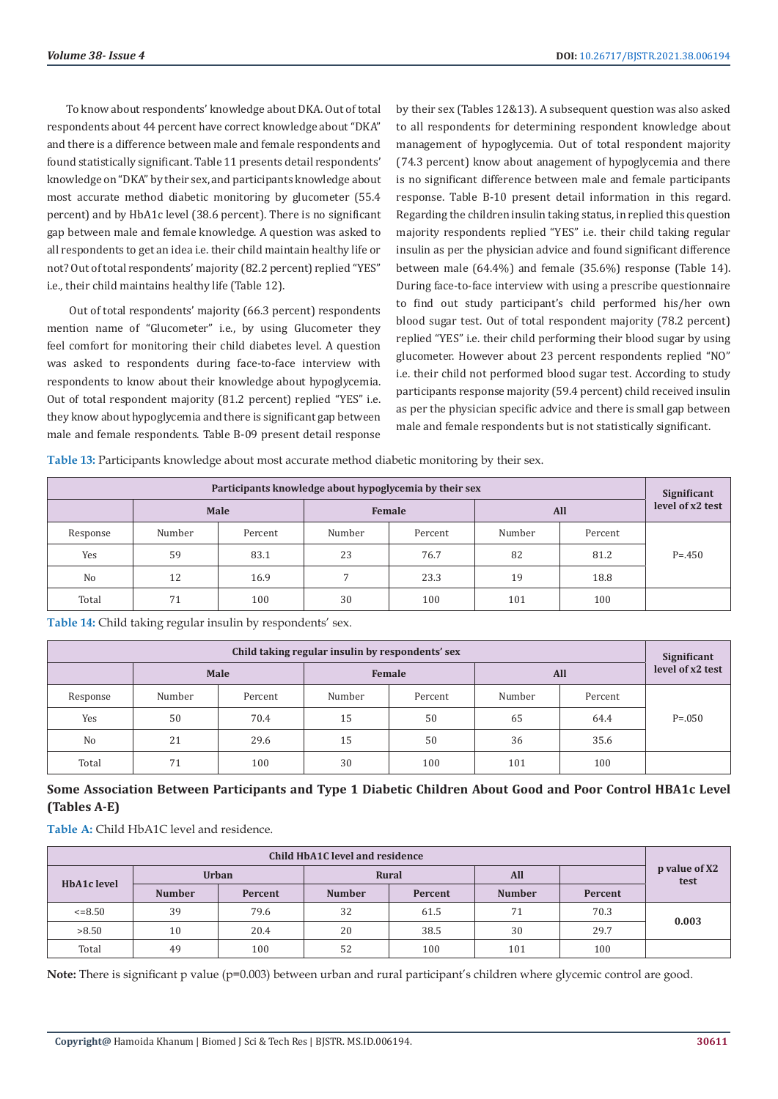To know about respondents' knowledge about DKA. Out of total respondents about 44 percent have correct knowledge about "DKA" and there is a difference between male and female respondents and found statistically significant. Table 11 presents detail respondents' knowledge on "DKA" by their sex, and participants knowledge about most accurate method diabetic monitoring by glucometer (55.4 percent) and by HbA1c level (38.6 percent). There is no significant gap between male and female knowledge. A question was asked to all respondents to get an idea i.e. their child maintain healthy life or not? Out of total respondents' majority (82.2 percent) replied "YES" i.e., their child maintains healthy life (Table 12).

 Out of total respondents' majority (66.3 percent) respondents mention name of "Glucometer" i.e., by using Glucometer they feel comfort for monitoring their child diabetes level. A question was asked to respondents during face-to-face interview with respondents to know about their knowledge about hypoglycemia. Out of total respondent majority (81.2 percent) replied "YES" i.e. they know about hypoglycemia and there is significant gap between male and female respondents. Table B-09 present detail response by their sex (Tables 12&13). A subsequent question was also asked to all respondents for determining respondent knowledge about management of hypoglycemia. Out of total respondent majority (74.3 percent) know about anagement of hypoglycemia and there is no significant difference between male and female participants response. Table B-10 present detail information in this regard. Regarding the children insulin taking status, in replied this question majority respondents replied "YES" i.e. their child taking regular insulin as per the physician advice and found significant difference between male (64.4%) and female (35.6%) response (Table 14). During face-to-face interview with using a prescribe questionnaire to find out study participant's child performed his/her own blood sugar test. Out of total respondent majority (78.2 percent) replied "YES" i.e. their child performing their blood sugar by using glucometer. However about 23 percent respondents replied "NO" i.e. their child not performed blood sugar test. According to study participants response majority (59.4 percent) child received insulin as per the physician specific advice and there is small gap between male and female respondents but is not statistically significant.

**Table 13:** Participants knowledge about most accurate method diabetic monitoring by their sex.

| Participants knowledge about hypoglycemia by their sex |        |         |                |         |        |         |                  |
|--------------------------------------------------------|--------|---------|----------------|---------|--------|---------|------------------|
|                                                        | Male   |         |                | Female  | All    |         | level of x2 test |
| Response                                               | Number | Percent | Number         | Percent | Number | Percent |                  |
| Yes                                                    | 59     | 83.1    | 23             | 76.7    | 82     | 81.2    | $P = 0.450$      |
| No                                                     | 12     | 16.9    | $\overline{7}$ | 23.3    | 19     | 18.8    |                  |
| Total                                                  | 71     | 100     | 30             | 100     | 101    | 100     |                  |

**Table 14:** Child taking regular insulin by respondents' sex.

| Child taking regular insulin by respondents' sex |        |         |        |         |        |         |                                 |
|--------------------------------------------------|--------|---------|--------|---------|--------|---------|---------------------------------|
|                                                  | Male   |         |        | Female  | All    |         | Significant<br>level of x2 test |
| Response                                         | Number | Percent | Number | Percent | Number | Percent |                                 |
| Yes                                              | 50     | 70.4    | 15     | 50      | 65     | 64.4    | $P = 0.050$                     |
| N <sub>0</sub>                                   | 21     | 29.6    | 15     | 50      | 36     | 35.6    |                                 |
| Total                                            | 71     | 100     | 30     | 100     | 101    | 100     |                                 |

# **Some Association Between Participants and Type 1 Diabetic Children About Good and Poor Control HBA1c Level (Tables A-E)**

**Table A:** Child HbA1C level and residence.

| Child HbA1C level and residence |               |              |               |         |               |         |                       |  |
|---------------------------------|---------------|--------------|---------------|---------|---------------|---------|-----------------------|--|
|                                 |               | <b>Urban</b> | Rural         |         | All           |         | p value of X2<br>test |  |
| HbA1c level                     | <b>Number</b> | Percent      | <b>Number</b> | Percent | <b>Number</b> | Percent |                       |  |
| $\leq 8.50$                     | 39            | 79.6         | 32            | 61.5    | 71            | 70.3    | 0.003                 |  |
| >8.50                           | 10            | 20.4         | 20            | 38.5    | 30            | 29.7    |                       |  |
| Total                           | 49            | 100          | 52            | 100     | 101           | 100     |                       |  |

Note: There is significant p value (p=0.003) between urban and rural participant's children where glycemic control are good.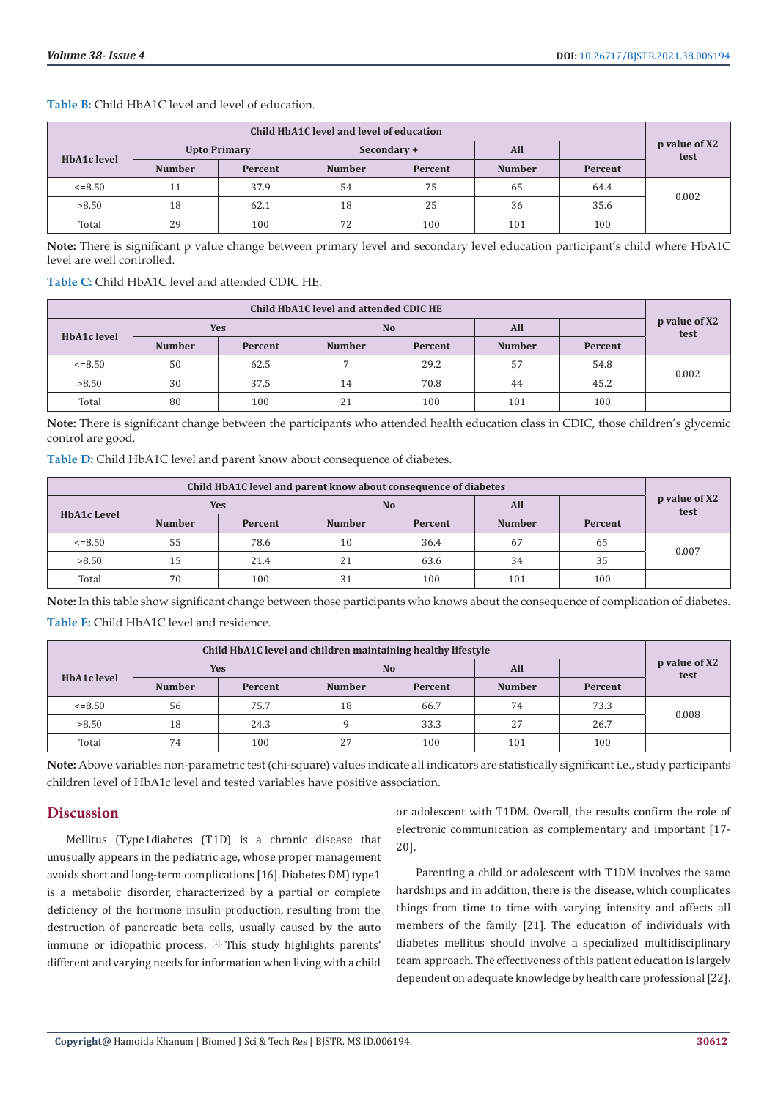| Child HbA1C level and level of education |                     |         |               |         |               |         |                       |  |
|------------------------------------------|---------------------|---------|---------------|---------|---------------|---------|-----------------------|--|
| HbA1c level                              | <b>Upto Primary</b> |         | Secondary +   |         | All           |         | p value of X2<br>test |  |
|                                          | <b>Number</b>       | Percent | <b>Number</b> | Percent | <b>Number</b> | Percent |                       |  |
| $\leq 8.50$                              |                     | 37.9    | 54            | 75      | 65            | 64.4    |                       |  |
| >8.50                                    | 18                  | 62.1    | 18            | 25      | 36            | 35.6    | 0.002                 |  |
| Total                                    | 29                  | 100     | 72            | 100     | 101           | 100     |                       |  |

**Table B:** Child HbA1C level and level of education.

**Note:** There is significant p value change between primary level and secondary level education participant's child where HbA1C level are well controlled.

**Table C:** Child HbA1C level and attended CDIC HE.

| Child HbA1C level and attended CDIC HE |               |            |               |                |               |         |                       |  |
|----------------------------------------|---------------|------------|---------------|----------------|---------------|---------|-----------------------|--|
| HbA1c level                            |               | <b>Yes</b> |               | N <sub>o</sub> | All           |         | p value of X2<br>test |  |
|                                        | <b>Number</b> | Percent    | <b>Number</b> | Percent        | <b>Number</b> | Percent |                       |  |
| $\leq$ = 8.50                          | 50            | 62.5       |               | 29.2           | 57            | 54.8    | 0.002                 |  |
| >8.50                                  | 30            | 37.5       | 14            | 70.8           | 44            | 45.2    |                       |  |
| Total                                  | 80            | 100        | 21            | 100            | 101           | 100     |                       |  |

**Note:** There is significant change between the participants who attended health education class in CDIC, those children's glycemic control are good.

**Table D:** Child HbA1C level and parent know about consequence of diabetes.

| Child HbA1C level and parent know about consequence of diabetes |               |            |               |                |               |         |                       |  |
|-----------------------------------------------------------------|---------------|------------|---------------|----------------|---------------|---------|-----------------------|--|
| <b>HbA1c Level</b>                                              |               | <b>Yes</b> |               | N <sub>0</sub> | All           |         | p value of X2<br>test |  |
|                                                                 | <b>Number</b> | Percent    | <b>Number</b> | Percent        | <b>Number</b> | Percent |                       |  |
| $\leq 8.50$                                                     | 55            | 78.6       | 10            | 36.4           | 67            | 65      | 0.007                 |  |
| >8.50                                                           | 15            | 21.4       | 21            | 63.6           | 34            | 35      |                       |  |
| Total                                                           | 70            | 100        | 31            | 100            | 101           | 100     |                       |  |

**Note:** In this table show significant change between those participants who knows about the consequence of complication of diabetes.

**Table E:** Child HbA1C level and residence.

| Child HbA1C level and children maintaining healthy lifestyle |               |         |               |                |               |         |                       |  |
|--------------------------------------------------------------|---------------|---------|---------------|----------------|---------------|---------|-----------------------|--|
| HbA1c level                                                  | Yes           |         |               | N <sub>0</sub> | All           |         | p value of X2<br>test |  |
|                                                              | <b>Number</b> | Percent | <b>Number</b> | Percent        | <b>Number</b> | Percent |                       |  |
| $\leq 8.50$                                                  | 56            | 75.7    | 18            | 66.7           | 74            | 73.3    | 0.008                 |  |
| >8.50                                                        | 18            | 24.3    | $\Omega$      | 33.3           | 27            | 26.7    |                       |  |
| Total                                                        | 74            | 100     | 27            | 100            | 101           | 100     |                       |  |

Note: Above variables non-parametric test (chi-square) values indicate all indicators are statistically significant i.e., study participants children level of HbA1c level and tested variables have positive association.

### **Discussion**

Mellitus (Type1diabetes (T1D) is a chronic disease that unusually appears in the pediatric age, whose proper management avoids short and long-term complications [16].Diabetes DM) type1 is a metabolic disorder, characterized by a partial or complete deficiency of the hormone insulin production, resulting from the destruction of pancreatic beta cells, usually caused by the auto immune or idiopathic process. [1]. This study highlights parents' different and varying needs for information when living with a child

or adolescent with T1DM. Overall, the results confirm the role of electronic communication as complementary and important [17- 20].

Parenting a child or adolescent with T1DM involves the same hardships and in addition, there is the disease, which complicates things from time to time with varying intensity and affects all members of the family [21]. The education of individuals with diabetes mellitus should involve a specialized multidisciplinary team approach. The effectiveness of this patient education is largely dependent on adequate knowledge by health care professional [22].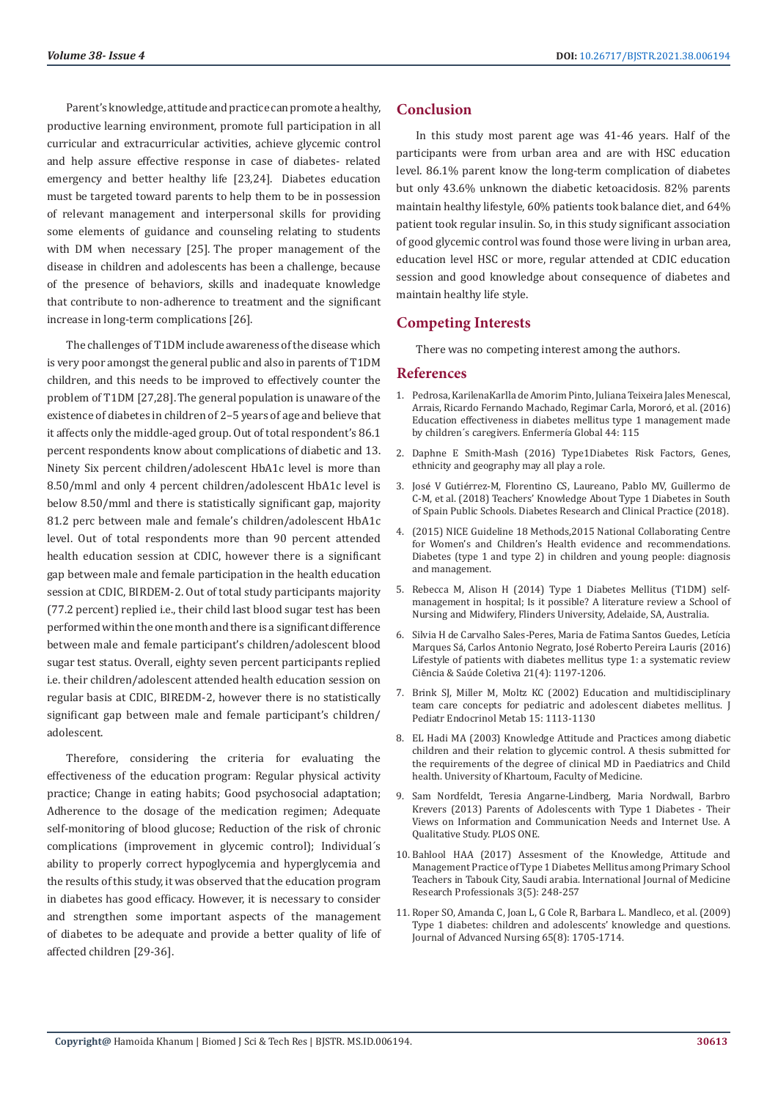Parent's knowledge, attitude and practice can promote a healthy, productive learning environment, promote full participation in all curricular and extracurricular activities, achieve glycemic control and help assure effective response in case of diabetes- related emergency and better healthy life [23,24]. Diabetes education must be targeted toward parents to help them to be in possession of relevant management and interpersonal skills for providing some elements of guidance and counseling relating to students with DM when necessary [25]. The proper management of the disease in children and adolescents has been a challenge, because of the presence of behaviors, skills and inadequate knowledge that contribute to non-adherence to treatment and the significant increase in long-term complications [26].

The challenges of T1DM include awareness of the disease which is very poor amongst the general public and also in parents of T1DM children, and this needs to be improved to effectively counter the problem of T1DM [27,28].The general population is unaware of the existence of diabetes in children of 2–5 years of age and believe that it affects only the middle-aged group. Out of total respondent's 86.1 percent respondents know about complications of diabetic and 13. Ninety Six percent children/adolescent HbA1c level is more than 8.50/mml and only 4 percent children/adolescent HbA1c level is below 8.50/mml and there is statistically significant gap, majority 81.2 perc between male and female's children/adolescent HbA1c level. Out of total respondents more than 90 percent attended health education session at CDIC, however there is a significant gap between male and female participation in the health education session at CDIC, BIRDEM-2. Out of total study participants majority (77.2 percent) replied i.e., their child last blood sugar test has been performed within the one month and there is a significant difference between male and female participant's children/adolescent blood sugar test status. Overall, eighty seven percent participants replied i.e. their children/adolescent attended health education session on regular basis at CDIC, BIREDM-2, however there is no statistically significant gap between male and female participant's children/ adolescent.

Therefore, considering the criteria for evaluating the effectiveness of the education program: Regular physical activity practice; Change in eating habits; Good psychosocial adaptation; Adherence to the dosage of the medication regimen; Adequate self-monitoring of blood glucose; Reduction of the risk of chronic complications (improvement in glycemic control); Individual´s ability to properly correct hypoglycemia and hyperglycemia and the results of this study, it was observed that the education program in diabetes has good efficacy. However, it is necessary to consider and strengthen some important aspects of the management of diabetes to be adequate and provide a better quality of life of affected children [29-36].

#### **Conclusion**

In this study most parent age was 41-46 years. Half of the participants were from urban area and are with HSC education level. 86.1% parent know the long-term complication of diabetes but only 43.6% unknown the diabetic ketoacidosis. 82% parents maintain healthy lifestyle, 60% patients took balance diet, and 64% patient took regular insulin. So, in this study significant association of good glycemic control was found those were living in urban area, education level HSC or more, regular attended at CDIC education session and good knowledge about consequence of diabetes and maintain healthy life style.

### **Competing Interests**

There was no competing interest among the authors.

#### **References**

- 1. Pedrosa, KarilenaKarlla de Amorim Pinto, Juliana Teixeira Jales Menescal, Arrais, Ricardo Fernando Machado, Regimar Carla, Mororó, et al. (2016) Education effectiveness in diabetes mellitus type 1 management made by children´s caregivers. Enfermería Global 44: 115
- 2. [Daphne E Smith-Mash \(2016\) Type1Diabetes Risk Factors, Genes,](file:///F:/Journals/BJSTR.MS.ID.006194/BJSTR-C-21-RA-412_W/BJSTR-C-21-RA-412_W/1.%09https/www.endocrineweb.com) [ethnicity and geography may all play a role.](file:///F:/Journals/BJSTR.MS.ID.006194/BJSTR-C-21-RA-412_W/BJSTR-C-21-RA-412_W/1.%09https/www.endocrineweb.com)
- 3. José V Gutié[rrez-M, Florentino CS, Laureano, Pablo MV, Guillermo de](https://doi.org/10.1016/%20j.diabres.2018.07.013) [C-M, et al. \(2018\) Teachers' Knowledge About Type 1 Diabetes in South](https://doi.org/10.1016/%20j.diabres.2018.07.013) [of Spain Public Schools. Diabetes Research and Clinical Practice \(2018\).](https://doi.org/10.1016/%20j.diabres.2018.07.013)
- 4. (2015) NICE Guideline 18 Methods,2015 National Collaborating Centre for Women's and Children's Health evidence and recommendations. Diabetes (type 1 and type 2) in children and young people: diagnosis and management.
- 5. Rebecca M, Alison H (2014) Type 1 Diabetes Mellitus (T1DM) selfmanagement in hospital; Is it possible? A literature review a School of Nursing and Midwifery, Flinders University, Adelaide, SA, Australia.
- 6. Silvia H de Carvalho Sales-Peres, Maria de Fatima Santos Guedes, Letícia Marques Sá, Carlos Antonio Negrato, José Roberto Pereira Lauris (2016) Lifestyle of patients with diabetes mellitus type 1: a systematic review Ciência & Saúde Coletiva 21(4): 1197-1206.
- 7. [Brink SJ, Miller M, Moltz KC \(2002\) Education and multidisciplinary](https://pubmed.ncbi.nlm.nih.gov/12387509/) [team care concepts for pediatric and adolescent diabetes mellitus. J](https://pubmed.ncbi.nlm.nih.gov/12387509/) [Pediatr Endocrinol Metab 15: 1113-1130](https://pubmed.ncbi.nlm.nih.gov/12387509/)
- 8. EL Hadi MA (2003) Knowledge Attitude and Practices among diabetic children and their relation to glycemic control. A thesis submitted for the requirements of the degree of clinical MD in Paediatrics and Child health. University of Khartoum, Faculty of Medicine.
- 9. Sam Nordfeldt, Teresia Angarne-Lindberg, Maria Nordwall, Barbro Krevers (2013) Parents of Adolescents with Type 1 Diabetes - Their Views on Information and Communication Needs and Internet Use. A Qualitative Study. PLOS ONE.
- 10. Bahlool HAA (2017) Assesment of the Knowledge, Attitude and Management Practice of Type 1 Diabetes Mellitus among Primary School Teachers in Tabouk City, Saudi arabia. International Journal of Medicine Research Professionals 3(5): 248-257
- 11. Roper SO, Amanda C, Joan L, G Cole R, Barbara L. Mandleco, et al. (2009) Type 1 diabetes: children and adolescents' knowledge and questions. Journal of Advanced Nursing 65(8): 1705-1714.